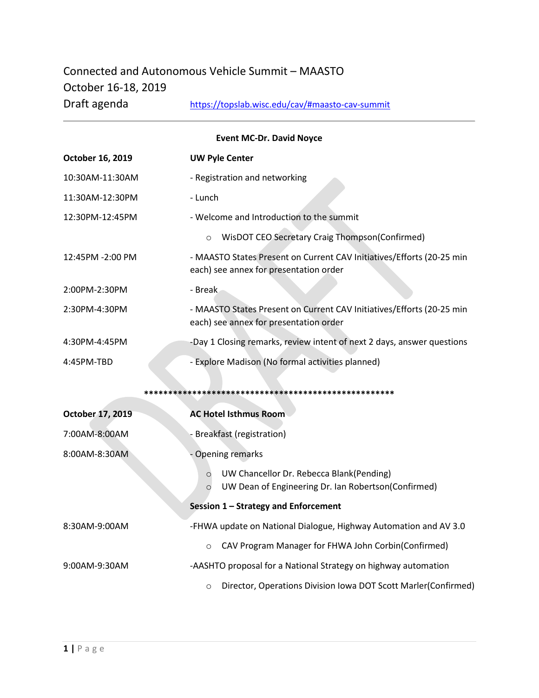## Connected and Autonomous Vehicle Summit – MAASTO October 16-18, 2019 Draft agenda <https://topslab.wisc.edu/cav/#maasto-cav-summit>

| <b>Event MC-Dr. David Noyce</b> |                                                                                                                       |  |  |  |
|---------------------------------|-----------------------------------------------------------------------------------------------------------------------|--|--|--|
| October 16, 2019                | <b>UW Pyle Center</b>                                                                                                 |  |  |  |
| 10:30AM-11:30AM                 | - Registration and networking                                                                                         |  |  |  |
| 11:30AM-12:30PM                 | - Lunch                                                                                                               |  |  |  |
| 12:30PM-12:45PM                 | - Welcome and Introduction to the summit                                                                              |  |  |  |
|                                 | WisDOT CEO Secretary Craig Thompson(Confirmed)<br>$\circ$                                                             |  |  |  |
| 12:45PM -2:00 PM                | - MAASTO States Present on Current CAV Initiatives/Efforts (20-25 min<br>each) see annex for presentation order       |  |  |  |
| 2:00PM-2:30PM                   | - Break                                                                                                               |  |  |  |
| 2:30PM-4:30PM                   | - MAASTO States Present on Current CAV Initiatives/Efforts (20-25 min<br>each) see annex for presentation order       |  |  |  |
| 4:30PM-4:45PM                   | -Day 1 Closing remarks, review intent of next 2 days, answer questions                                                |  |  |  |
| 4:45PM-TBD                      | - Explore Madison (No formal activities planned)                                                                      |  |  |  |
|                                 |                                                                                                                       |  |  |  |
| October 17, 2019                | <b>AC Hotel Isthmus Room</b>                                                                                          |  |  |  |
| 7:00AM-8:00AM                   | - Breakfast (registration)                                                                                            |  |  |  |
| 8:00AM-8:30AM                   | <b>Opening remarks</b>                                                                                                |  |  |  |
|                                 | UW Chancellor Dr. Rebecca Blank(Pending)<br>$\circ$<br>UW Dean of Engineering Dr. Ian Robertson(Confirmed)<br>$\circ$ |  |  |  |
|                                 | Session 1 - Strategy and Enforcement                                                                                  |  |  |  |
| 8:30AM-9:00AM                   | -FHWA update on National Dialogue, Highway Automation and AV 3.0                                                      |  |  |  |
|                                 | CAV Program Manager for FHWA John Corbin(Confirmed)<br>$\circ$                                                        |  |  |  |
| 9:00AM-9:30AM                   | -AASHTO proposal for a National Strategy on highway automation                                                        |  |  |  |
|                                 | Director, Operations Division Iowa DOT Scott Marler(Confirmed)<br>$\circ$                                             |  |  |  |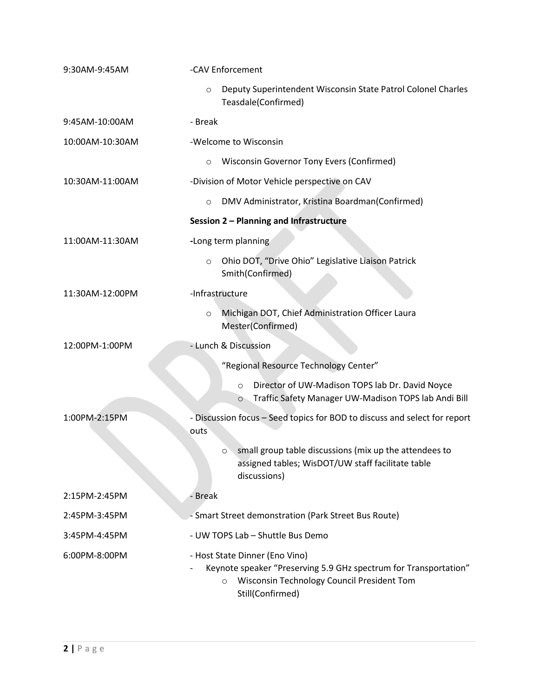| 9:30AM-9:45AM   | -CAV Enforcement |                                                                                                                                                                                 |
|-----------------|------------------|---------------------------------------------------------------------------------------------------------------------------------------------------------------------------------|
|                 | $\circ$          | Deputy Superintendent Wisconsin State Patrol Colonel Charles<br>Teasdale(Confirmed)                                                                                             |
| 9:45AM-10:00AM  | - Break          |                                                                                                                                                                                 |
| 10:00AM-10:30AM |                  | -Welcome to Wisconsin                                                                                                                                                           |
|                 | $\circ$          | Wisconsin Governor Tony Evers (Confirmed)                                                                                                                                       |
| 10:30AM-11:00AM |                  | -Division of Motor Vehicle perspective on CAV                                                                                                                                   |
|                 | $\circ$          | DMV Administrator, Kristina Boardman(Confirmed)                                                                                                                                 |
|                 |                  | Session 2 - Planning and Infrastructure                                                                                                                                         |
| 11:00AM-11:30AM |                  | -Long term planning                                                                                                                                                             |
|                 | $\circ$          | Ohio DOT, "Drive Ohio" Legislative Liaison Patrick<br>Smith(Confirmed)                                                                                                          |
| 11:30AM-12:00PM | -Infrastructure  |                                                                                                                                                                                 |
|                 | $\circ$          | Michigan DOT, Chief Administration Officer Laura<br>Mester(Confirmed)                                                                                                           |
| 12:00PM-1:00PM  |                  | - Lunch & Discussion                                                                                                                                                            |
|                 |                  | "Regional Resource Technology Center"                                                                                                                                           |
|                 |                  | Director of UW-Madison TOPS lab Dr. David Noyce<br>$\circ$<br>Traffic Safety Manager UW-Madison TOPS lab Andi Bill<br>$\circ$                                                   |
| 1:00PM-2:15PM   | outs             | - Discussion focus - Seed topics for BOD to discuss and select for report                                                                                                       |
|                 |                  | small group table discussions (mix up the attendees to<br>$\circ$<br>assigned tables; WisDOT/UW staff facilitate table<br>discussions)                                          |
| 2:15PM-2:45PM   | - Break          |                                                                                                                                                                                 |
| 2:45PM-3:45PM   |                  | - Smart Street demonstration (Park Street Bus Route)                                                                                                                            |
| 3:45PM-4:45PM   |                  | - UW TOPS Lab - Shuttle Bus Demo                                                                                                                                                |
| 6:00PM-8:00PM   |                  | - Host State Dinner (Eno Vino)<br>Keynote speaker "Preserving 5.9 GHz spectrum for Transportation"<br>Wisconsin Technology Council President Tom<br>$\circ$<br>Still(Confirmed) |